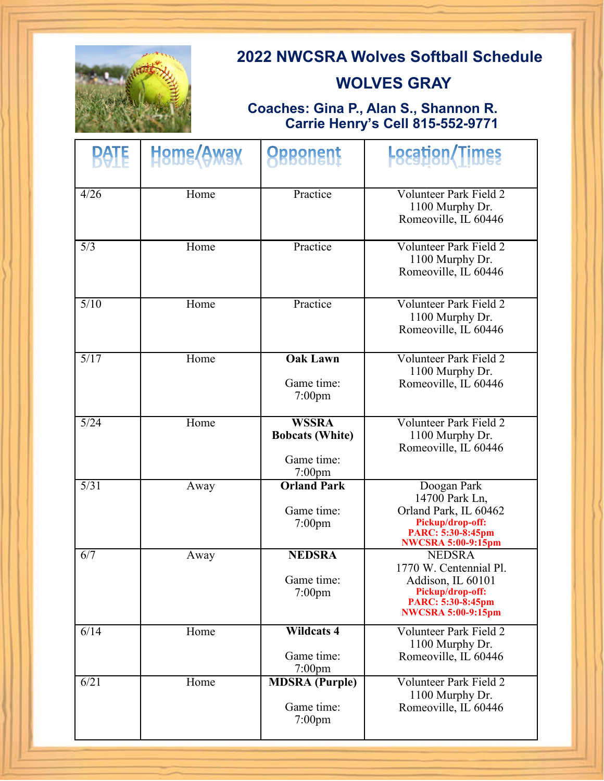

# **2022 NWCSRA Wolves Softball Schedule**

### **WOLVES GRAY**

### **Coaches: Gina P., Alan S., Shannon R. Carrie Henry's Cell 815-552-9771**

| <b>BATE</b> | Hame <i>(Awax</i> | <b>Opponent</b>                                                   | <b>Location</b> /Times                                                                                                             |
|-------------|-------------------|-------------------------------------------------------------------|------------------------------------------------------------------------------------------------------------------------------------|
| 4/26        | Home              | Practice                                                          | <b>Volunteer Park Field 2</b><br>1100 Murphy Dr.<br>Romeoville, IL 60446                                                           |
| 5/3         | Home              | Practice                                                          | <b>Volunteer Park Field 2</b><br>1100 Murphy Dr.<br>Romeoville, IL 60446                                                           |
| 5/10        | Home              | Practice                                                          | Volunteer Park Field 2<br>1100 Murphy Dr.<br>Romeoville, IL 60446                                                                  |
| 5/17        | Home              | <b>Oak Lawn</b><br>Game time:<br>$7:00$ pm                        | <b>Volunteer Park Field 2</b><br>1100 Murphy Dr.<br>Romeoville, IL 60446                                                           |
| 5/24        | Home              | <b>WSSRA</b><br><b>Bobcats (White)</b><br>Game time:<br>$7:00$ pm | Volunteer Park Field 2<br>1100 Murphy Dr.<br>Romeoville, IL 60446                                                                  |
| 5/31        | Away              | <b>Orland Park</b><br>Game time:<br>$7:00$ pm                     | Doogan Park<br>14700 Park Ln,<br>Orland Park, IL 60462<br>Pickup/drop-off:<br>PARC: 5:30-8:45pm<br><b>NWCSRA 5:00-9:15pm</b>       |
| 6/7         | Away              | <b>NEDSRA</b><br>Game time:<br>$7:00$ pm                          | <b>NEDSRA</b><br>1770 W. Centennial Pl.<br>Addison, IL 60101<br>Pickup/drop-off:<br>PARC: 5:30-8:45pm<br><b>NWCSRA 5:00-9:15pm</b> |
| 6/14        | Home              | <b>Wildcats 4</b><br>Game time:<br>$7:00$ pm                      | Volunteer Park Field 2<br>1100 Murphy Dr.<br>Romeoville, IL 60446                                                                  |
| 6/21        | Home              | <b>MDSRA</b> (Purple)<br>Game time:<br>$7:00$ pm                  | <b>Volunteer Park Field 2</b><br>1100 Murphy Dr.<br>Romeoville, IL 60446                                                           |